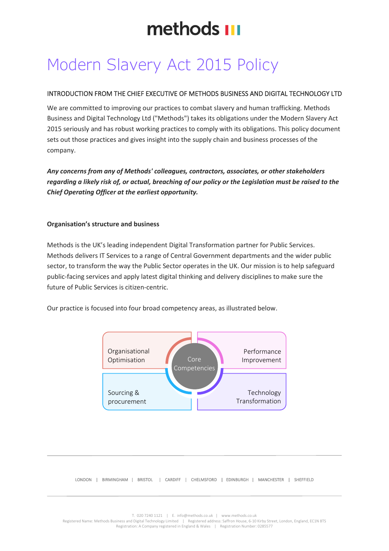# Modern Slavery Act 2015 Policy

### INTRODUCTION FROM THE CHIEF EXECUTIVE OF METHODS BUSINESS AND DIGITAL TECHNOLOGY LTD

We are committed to improving our practices to combat slavery and human trafficking. Methods Business and Digital Technology Ltd ("Methods") takes its obligations under the Modern Slavery Act 2015 seriously and has robust working practices to comply with its obligations. This policy document sets out those practices and gives insight into the supply chain and business processes of the company.

*Any concerns from any of Methods' colleagues, contractors, associates, or other stakeholders regarding a likely risk of, or actual, breaching of our policy or the Legislation must be raised to the Chief Operating Officer at the earliest opportunity.*

#### **Organisation's structure and business**

Methods is the UK's leading independent Digital Transformation partner for Public Services. Methods delivers IT Services to a range of Central Government departments and the wider public sector, to transform the way the Public Sector operates in the UK. Our mission is to help safeguard public-facing services and apply latest digital thinking and delivery disciplines to make sure the future of Public Services is citizen-centric.

Our practice is focused into four broad competency areas, as illustrated below.



LONDON | BIRMINGHAM | BRISTOL | CARDIFF | CHELMSFORD | EDINBURGH | MANCHESTER | SHEFFIELD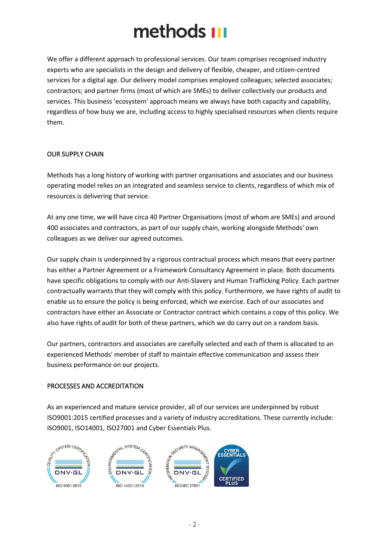We offer a different approach to professional services. Our team comprises recognised industry experts who are specialists in the design and delivery of flexible, cheaper, and citizen-centred services for a digital age. Our delivery model comprises employed colleagues; selected associates; contractors; and partner firms (most of which are SMEs) to deliver collectively our products and services. This business 'ecosystem' approach means we always have both capacity and capability, regardless of how busy we are, including access to highly specialised resources when clients require them.

### OUR SUPPLY CHAIN

Methods has a long history of working with partner organisations and associates and our business operating model relies on an integrated and seamless service to clients, regardless of which mix of resources is delivering that service.

At any one time, we will have circa 40 Partner Organisations (most of whom are SMEs) and around 400 associates and contractors, as part of our supply chain, working alongside Methods' own colleagues as we deliver our agreed outcomes.

Our supply chain is underpinned by a rigorous contractual process which means that every partner has either a Partner Agreement or a Framework Consultancy Agreement in place. Both documents have specific obligations to comply with our Anti-Slavery and Human Trafficking Policy. Each partner contractually warrants that they will comply with this policy. Furthermore, we have rights of audit to enable us to ensure the policy is being enforced, which we exercise. Each of our associates and contractors have either an Associate or Contractor contract which contains a copy of this policy. We also have rights of audit for both of these partners, which we do carry out on a random basis.

Our partners, contractors and associates are carefully selected and each of them is allocated to an experienced Methods' member of staff to maintain effective communication and assess their business performance on our projects.

### PROCESSES AND ACCREDITATION

As an experienced and mature service provider, all of our services are underpinned by robust ISO9001:2015 certified processes and a variety of industry accreditations. These currently include: ISO9001, ISO14001, ISO27001 and Cyber Essentials Plus.

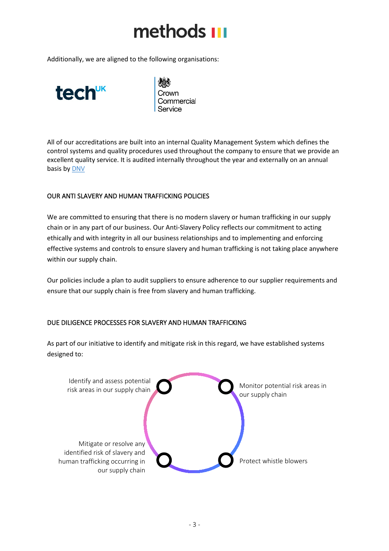Additionally, we are aligned to the following organisations:



Crown Commercial Service

All of our accreditations are built into an internal Quality Management System which defines the control systems and quality procedures used throughout the company to ensure that we provide an excellent quality service. It is audited internally throughout the year and externally on an annual basis by [DNV](https://www.dnv.com/)

### OUR ANTI SLAVERY AND HUMAN TRAFFICKING POLICIES

We are committed to ensuring that there is no modern slavery or human trafficking in our supply chain or in any part of our business. Our Anti-Slavery Policy reflects our commitment to acting ethically and with integrity in all our business relationships and to implementing and enforcing effective systems and controls to ensure slavery and human trafficking is not taking place anywhere within our supply chain.

Our policies include a plan to audit suppliers to ensure adherence to our supplier requirements and ensure that our supply chain is free from slavery and human trafficking.

### DUE DILIGENCE PROCESSES FOR SLAVERY AND HUMAN TRAFFICKING

As part of our initiative to identify and mitigate risk in this regard, we have established systems designed to: